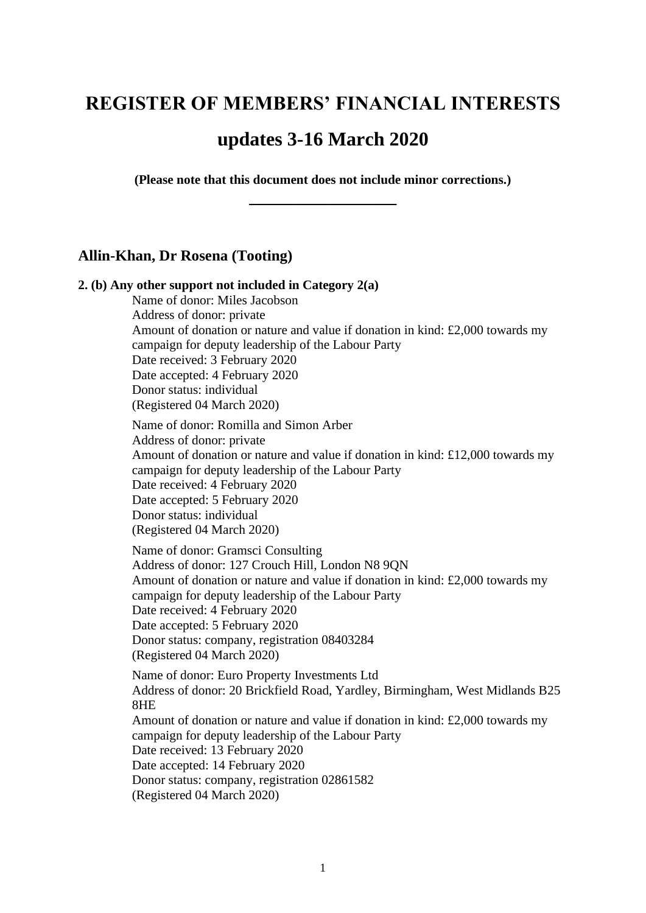# **REGISTER OF MEMBERS' FINANCIAL INTERESTS**

# **updates 3-16 March 2020**

**(Please note that this document does not include minor corrections.) \_\_\_\_\_\_\_\_\_\_\_\_\_\_\_\_\_**

## **Allin-Khan, Dr Rosena (Tooting)**

### **2. (b) Any other support not included in Category 2(a)**

Name of donor: Miles Jacobson Address of donor: private Amount of donation or nature and value if donation in kind: £2,000 towards my campaign for deputy leadership of the Labour Party Date received: 3 February 2020 Date accepted: 4 February 2020 Donor status: individual (Registered 04 March 2020)

Name of donor: Romilla and Simon Arber Address of donor: private Amount of donation or nature and value if donation in kind: £12,000 towards my campaign for deputy leadership of the Labour Party Date received: 4 February 2020 Date accepted: 5 February 2020 Donor status: individual (Registered 04 March 2020)

Name of donor: Gramsci Consulting Address of donor: 127 Crouch Hill, London N8 9QN Amount of donation or nature and value if donation in kind: £2,000 towards my campaign for deputy leadership of the Labour Party Date received: 4 February 2020 Date accepted: 5 February 2020 Donor status: company, registration 08403284 (Registered 04 March 2020)

Name of donor: Euro Property Investments Ltd Address of donor: 20 Brickfield Road, Yardley, Birmingham, West Midlands B25 8HE Amount of donation or nature and value if donation in kind: £2,000 towards my campaign for deputy leadership of the Labour Party Date received: 13 February 2020 Date accepted: 14 February 2020 Donor status: company, registration 02861582 (Registered 04 March 2020)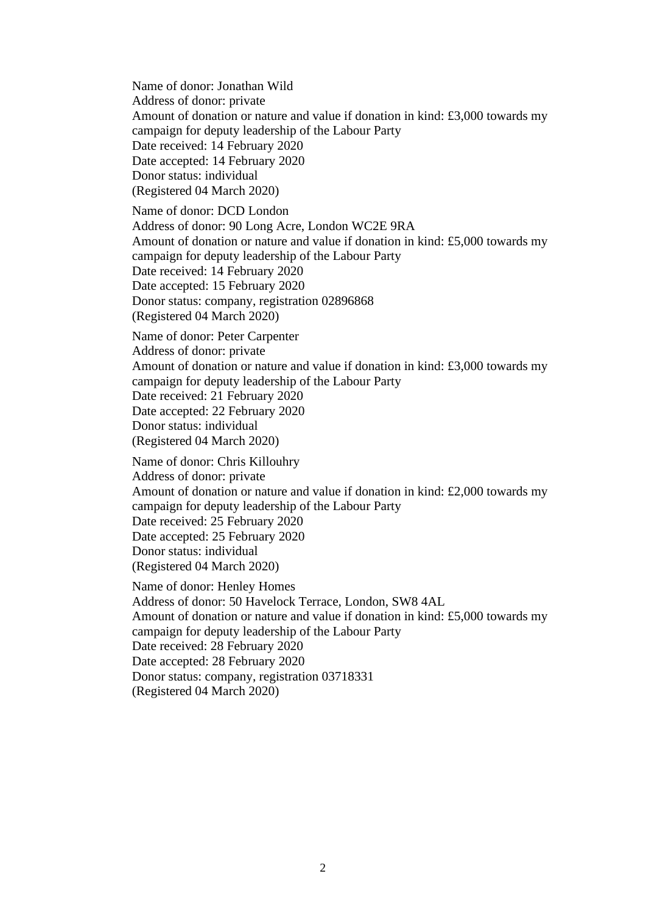Name of donor: Jonathan Wild Address of donor: private Amount of donation or nature and value if donation in kind: £3,000 towards my campaign for deputy leadership of the Labour Party Date received: 14 February 2020 Date accepted: 14 February 2020 Donor status: individual (Registered 04 March 2020) Name of donor: DCD London Address of donor: 90 Long Acre, London WC2E 9RA Amount of donation or nature and value if donation in kind: £5,000 towards my campaign for deputy leadership of the Labour Party Date received: 14 February 2020 Date accepted: 15 February 2020 Donor status: company, registration 02896868 (Registered 04 March 2020) Name of donor: Peter Carpenter Address of donor: private Amount of donation or nature and value if donation in kind: £3,000 towards my campaign for deputy leadership of the Labour Party Date received: 21 February 2020 Date accepted: 22 February 2020 Donor status: individual (Registered 04 March 2020) Name of donor: Chris Killouhry Address of donor: private Amount of donation or nature and value if donation in kind: £2,000 towards my campaign for deputy leadership of the Labour Party Date received: 25 February 2020 Date accepted: 25 February 2020 Donor status: individual (Registered 04 March 2020) Name of donor: Henley Homes Address of donor: 50 Havelock Terrace, London, SW8 4AL Amount of donation or nature and value if donation in kind: £5,000 towards my campaign for deputy leadership of the Labour Party

Date received: 28 February 2020

Date accepted: 28 February 2020

Donor status: company, registration 03718331

(Registered 04 March 2020)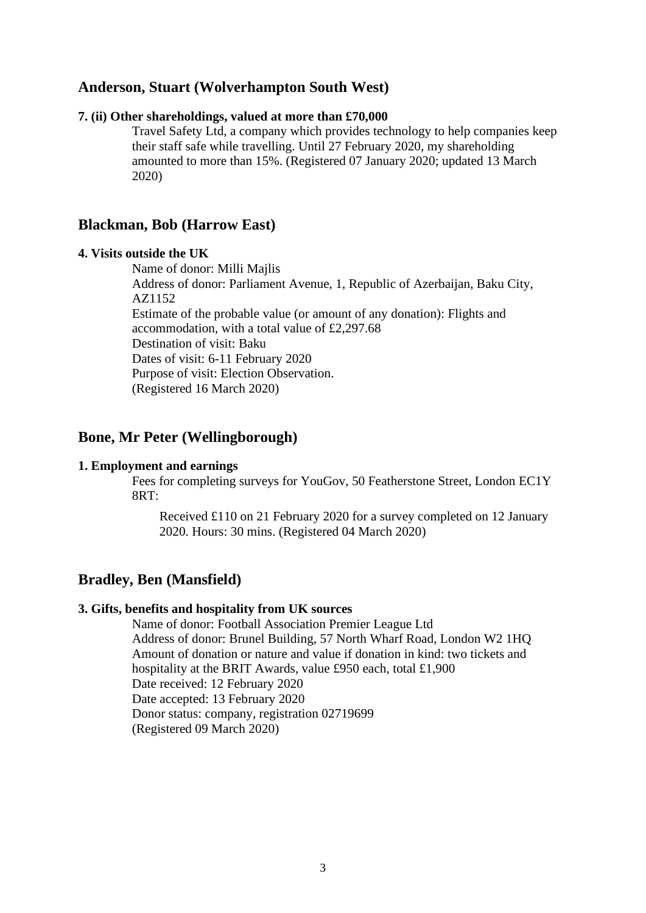## **Anderson, Stuart (Wolverhampton South West)**

#### **7. (ii) Other shareholdings, valued at more than £70,000**

Travel Safety Ltd, a company which provides technology to help companies keep their staff safe while travelling. Until 27 February 2020, my shareholding amounted to more than 15%. (Registered 07 January 2020; updated 13 March 2020)

## **Blackman, Bob (Harrow East)**

#### **4. Visits outside the UK**

Name of donor: Milli Majlis Address of donor: Parliament Avenue, 1, Republic of Azerbaijan, Baku City, AZ1152 Estimate of the probable value (or amount of any donation): Flights and accommodation, with a total value of £2,297.68 Destination of visit: Baku Dates of visit: 6-11 February 2020 Purpose of visit: Election Observation. (Registered 16 March 2020)

## **Bone, Mr Peter (Wellingborough)**

#### **1. Employment and earnings**

Fees for completing surveys for YouGov, 50 Featherstone Street, London EC1Y  $8RT$ 

Received £110 on 21 February 2020 for a survey completed on 12 January 2020. Hours: 30 mins. (Registered 04 March 2020)

## **Bradley, Ben (Mansfield)**

#### **3. Gifts, benefits and hospitality from UK sources**

Name of donor: Football Association Premier League Ltd Address of donor: Brunel Building, 57 North Wharf Road, London W2 1HQ Amount of donation or nature and value if donation in kind: two tickets and hospitality at the BRIT Awards, value £950 each, total £1,900 Date received: 12 February 2020 Date accepted: 13 February 2020 Donor status: company, registration 02719699 (Registered 09 March 2020)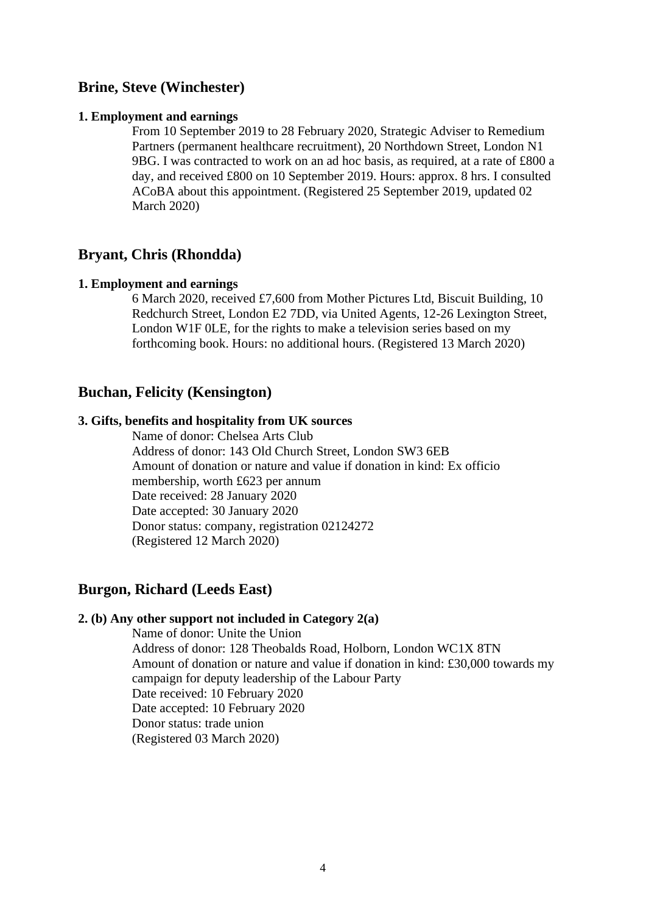## **Brine, Steve (Winchester)**

#### **1. Employment and earnings**

From 10 September 2019 to 28 February 2020, Strategic Adviser to Remedium Partners (permanent healthcare recruitment), 20 Northdown Street, London N1 9BG. I was contracted to work on an ad hoc basis, as required, at a rate of £800 a day, and received £800 on 10 September 2019. Hours: approx. 8 hrs. I consulted ACoBA about this appointment. (Registered 25 September 2019, updated 02 March 2020)

### **Bryant, Chris (Rhondda)**

#### **1. Employment and earnings**

6 March 2020, received £7,600 from Mother Pictures Ltd, Biscuit Building, 10 Redchurch Street, London E2 7DD, via United Agents, 12-26 Lexington Street, London W1F 0LE, for the rights to make a television series based on my forthcoming book. Hours: no additional hours. (Registered 13 March 2020)

### **Buchan, Felicity (Kensington)**

## **3. Gifts, benefits and hospitality from UK sources**

Name of donor: Chelsea Arts Club Address of donor: 143 Old Church Street, London SW3 6EB Amount of donation or nature and value if donation in kind: Ex officio membership, worth £623 per annum Date received: 28 January 2020 Date accepted: 30 January 2020 Donor status: company, registration 02124272 (Registered 12 March 2020)

## **Burgon, Richard (Leeds East)**

### **2. (b) Any other support not included in Category 2(a)**

Name of donor: Unite the Union Address of donor: 128 Theobalds Road, Holborn, London WC1X 8TN Amount of donation or nature and value if donation in kind: £30,000 towards my campaign for deputy leadership of the Labour Party Date received: 10 February 2020 Date accepted: 10 February 2020 Donor status: trade union (Registered 03 March 2020)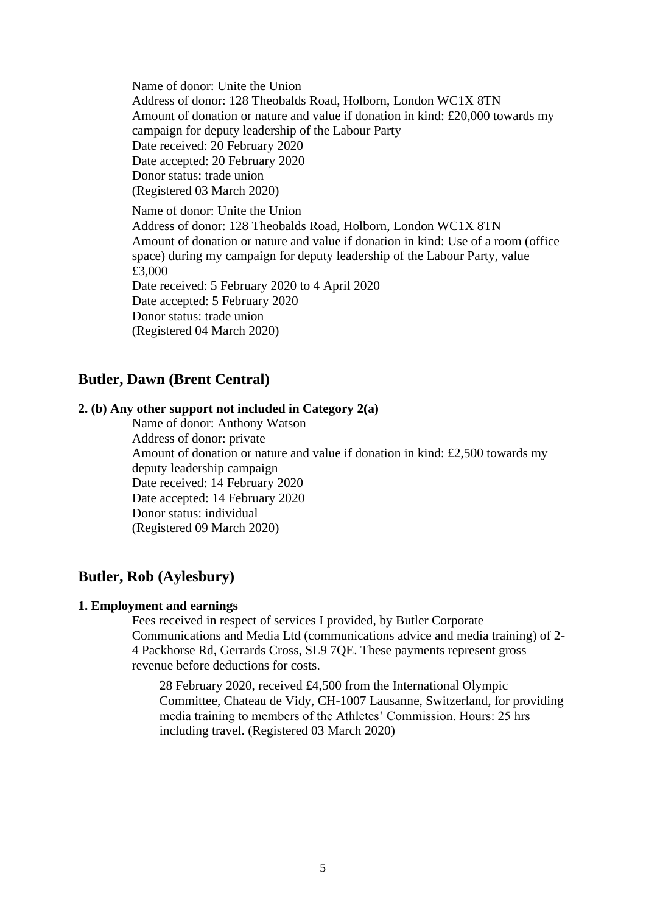Name of donor: Unite the Union Address of donor: 128 Theobalds Road, Holborn, London WC1X 8TN Amount of donation or nature and value if donation in kind:  $\text{\pounds}20,000$  towards my campaign for deputy leadership of the Labour Party Date received: 20 February 2020 Date accepted: 20 February 2020 Donor status: trade union (Registered 03 March 2020)

Name of donor: Unite the Union Address of donor: 128 Theobalds Road, Holborn, London WC1X 8TN Amount of donation or nature and value if donation in kind: Use of a room (office space) during my campaign for deputy leadership of the Labour Party, value £3,000 Date received: 5 February 2020 to 4 April 2020 Date accepted: 5 February 2020 Donor status: trade union (Registered 04 March 2020)

## **Butler, Dawn (Brent Central)**

### **2. (b) Any other support not included in Category 2(a)**

Name of donor: Anthony Watson Address of donor: private Amount of donation or nature and value if donation in kind: £2,500 towards my deputy leadership campaign Date received: 14 February 2020 Date accepted: 14 February 2020 Donor status: individual (Registered 09 March 2020)

## **Butler, Rob (Aylesbury)**

#### **1. Employment and earnings**

Fees received in respect of services I provided, by Butler Corporate Communications and Media Ltd (communications advice and media training) of 2- 4 Packhorse Rd, Gerrards Cross, SL9 7QE. These payments represent gross revenue before deductions for costs.

28 February 2020, received £4,500 from the International Olympic Committee, Chateau de Vidy, CH-1007 Lausanne, Switzerland, for providing media training to members of the Athletes' Commission. Hours: 25 hrs including travel. (Registered 03 March 2020)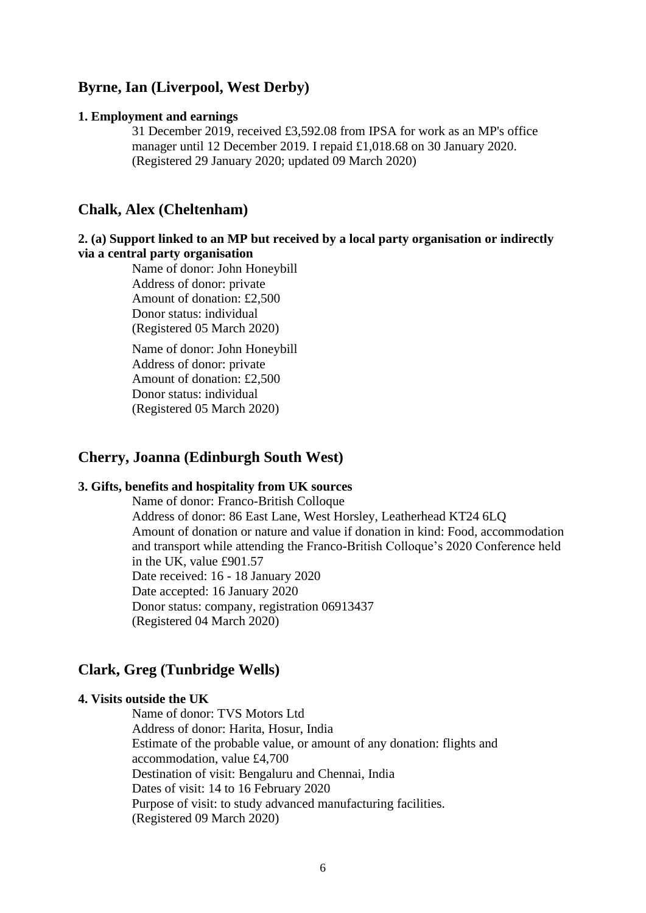## **Byrne, Ian (Liverpool, West Derby)**

#### **1. Employment and earnings**

31 December 2019, received £3,592.08 from IPSA for work as an MP's office manager until 12 December 2019. I repaid £1,018.68 on 30 January 2020. (Registered 29 January 2020; updated 09 March 2020)

## **Chalk, Alex (Cheltenham)**

### **2. (a) Support linked to an MP but received by a local party organisation or indirectly via a central party organisation**

Name of donor: John Honeybill Address of donor: private Amount of donation: £2,500 Donor status: individual (Registered 05 March 2020)

Name of donor: John Honeybill Address of donor: private Amount of donation: £2,500 Donor status: individual (Registered 05 March 2020)

## **Cherry, Joanna (Edinburgh South West)**

### **3. Gifts, benefits and hospitality from UK sources**

Name of donor: Franco-British Colloque Address of donor: 86 East Lane, West Horsley, Leatherhead KT24 6LQ Amount of donation or nature and value if donation in kind: Food, accommodation and transport while attending the Franco-British Colloque's 2020 Conference held in the UK, value £901.57 Date received: 16 - 18 January 2020 Date accepted: 16 January 2020 Donor status: company, registration 06913437 (Registered 04 March 2020)

### **Clark, Greg (Tunbridge Wells)**

#### **4. Visits outside the UK**

Name of donor: TVS Motors Ltd Address of donor: Harita, Hosur, India Estimate of the probable value, or amount of any donation: flights and accommodation, value £4,700 Destination of visit: Bengaluru and Chennai, India Dates of visit: 14 to 16 February 2020 Purpose of visit: to study advanced manufacturing facilities. (Registered 09 March 2020)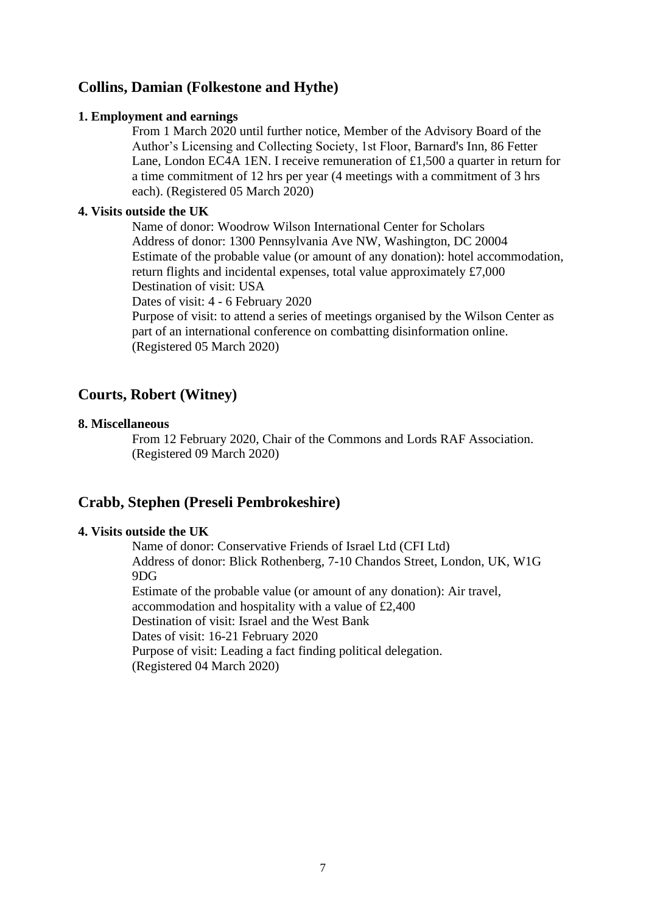## **Collins, Damian (Folkestone and Hythe)**

### **1. Employment and earnings**

From 1 March 2020 until further notice, Member of the Advisory Board of the Author's Licensing and Collecting Society, 1st Floor, Barnard's Inn, 86 Fetter Lane, London EC4A 1EN. I receive remuneration of £1,500 a quarter in return for a time commitment of 12 hrs per year (4 meetings with a commitment of 3 hrs each). (Registered 05 March 2020)

### **4. Visits outside the UK**

Name of donor: Woodrow Wilson International Center for Scholars Address of donor: 1300 Pennsylvania Ave NW, Washington, DC 20004 Estimate of the probable value (or amount of any donation): hotel accommodation, return flights and incidental expenses, total value approximately £7,000 Destination of visit: USA

Dates of visit: 4 - 6 February 2020

Purpose of visit: to attend a series of meetings organised by the Wilson Center as part of an international conference on combatting disinformation online. (Registered 05 March 2020)

## **Courts, Robert (Witney)**

### **8. Miscellaneous**

From 12 February 2020, Chair of the Commons and Lords RAF Association. (Registered 09 March 2020)

## **Crabb, Stephen (Preseli Pembrokeshire)**

### **4. Visits outside the UK**

Name of donor: Conservative Friends of Israel Ltd (CFI Ltd) Address of donor: Blick Rothenberg, 7-10 Chandos Street, London, UK, W1G 9DG Estimate of the probable value (or amount of any donation): Air travel, accommodation and hospitality with a value of £2,400 Destination of visit: Israel and the West Bank Dates of visit: 16-21 February 2020 Purpose of visit: Leading a fact finding political delegation. (Registered 04 March 2020)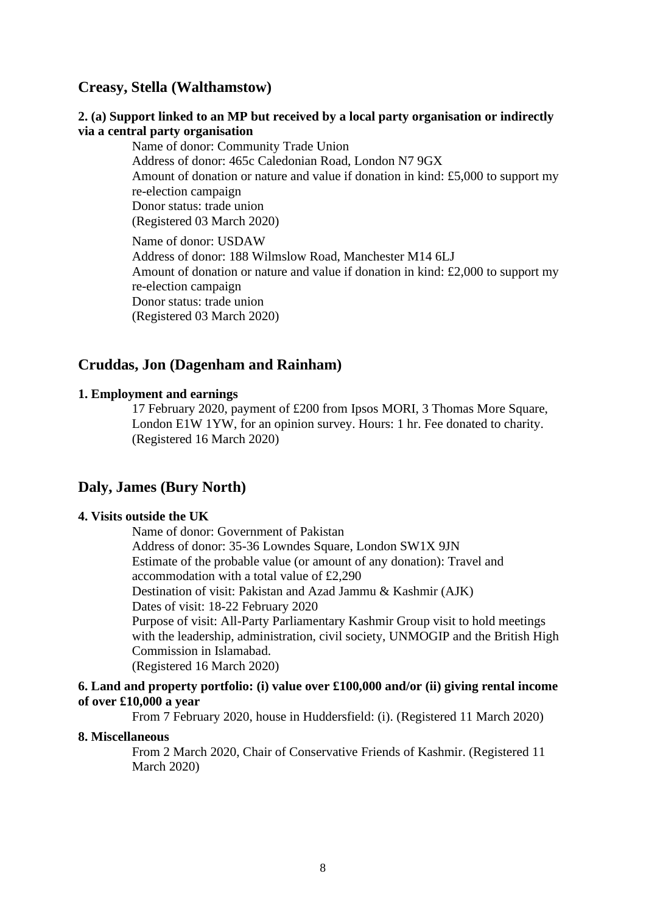## **Creasy, Stella (Walthamstow)**

### **2. (a) Support linked to an MP but received by a local party organisation or indirectly via a central party organisation**

Name of donor: Community Trade Union Address of donor: 465c Caledonian Road, London N7 9GX Amount of donation or nature and value if donation in kind: £5,000 to support my re-election campaign Donor status: trade union (Registered 03 March 2020) Name of donor: USDAW Address of donor: 188 Wilmslow Road, Manchester M14 6LJ Amount of donation or nature and value if donation in kind: £2,000 to support my re-election campaign

Donor status: trade union (Registered 03 March 2020)

## **Cruddas, Jon (Dagenham and Rainham)**

#### **1. Employment and earnings**

17 February 2020, payment of £200 from Ipsos MORI, 3 Thomas More Square, London E1W 1YW, for an opinion survey. Hours: 1 hr. Fee donated to charity. (Registered 16 March 2020)

### **Daly, James (Bury North)**

## **4. Visits outside the UK**

Name of donor: Government of Pakistan Address of donor: 35-36 Lowndes Square, London SW1X 9JN Estimate of the probable value (or amount of any donation): Travel and accommodation with a total value of £2,290 Destination of visit: Pakistan and Azad Jammu & Kashmir (AJK) Dates of visit: 18-22 February 2020 Purpose of visit: All-Party Parliamentary Kashmir Group visit to hold meetings with the leadership, administration, civil society, UNMOGIP and the British High Commission in Islamabad. (Registered 16 March 2020)

### **6. Land and property portfolio: (i) value over £100,000 and/or (ii) giving rental income of over £10,000 a year**

From 7 February 2020, house in Huddersfield: (i). (Registered 11 March 2020)

#### **8. Miscellaneous**

From 2 March 2020, Chair of Conservative Friends of Kashmir. (Registered 11 March 2020)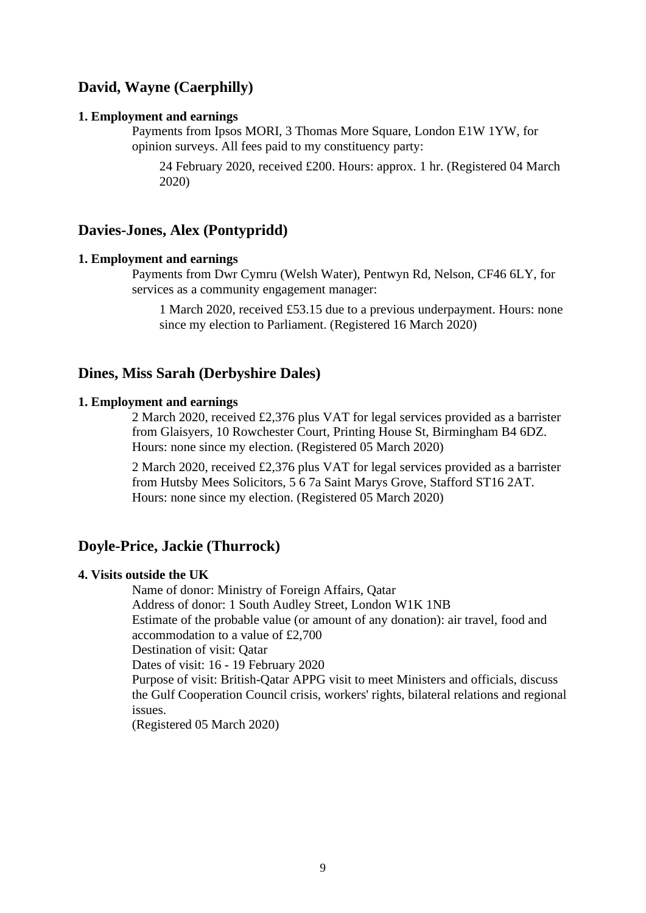## **David, Wayne (Caerphilly)**

#### **1. Employment and earnings**

Payments from Ipsos MORI, 3 Thomas More Square, London E1W 1YW, for opinion surveys. All fees paid to my constituency party:

24 February 2020, received £200. Hours: approx. 1 hr. (Registered 04 March 2020)

### **Davies-Jones, Alex (Pontypridd)**

#### **1. Employment and earnings**

Payments from Dwr Cymru (Welsh Water), Pentwyn Rd, Nelson, CF46 6LY, for services as a community engagement manager:

1 March 2020, received £53.15 due to a previous underpayment. Hours: none since my election to Parliament. (Registered 16 March 2020)

### **Dines, Miss Sarah (Derbyshire Dales)**

#### **1. Employment and earnings**

2 March 2020, received £2,376 plus VAT for legal services provided as a barrister from Glaisyers, 10 Rowchester Court, Printing House St, Birmingham B4 6DZ. Hours: none since my election. (Registered 05 March 2020)

2 March 2020, received £2,376 plus VAT for legal services provided as a barrister from Hutsby Mees Solicitors, 5 6 7a Saint Marys Grove, Stafford ST16 2AT. Hours: none since my election. (Registered 05 March 2020)

## **Doyle-Price, Jackie (Thurrock)**

### **4. Visits outside the UK**

Name of donor: Ministry of Foreign Affairs, Qatar

Address of donor: 1 South Audley Street, London W1K 1NB

Estimate of the probable value (or amount of any donation): air travel, food and accommodation to a value of £2,700

Destination of visit: Qatar

Dates of visit: 16 - 19 February 2020

Purpose of visit: British-Qatar APPG visit to meet Ministers and officials, discuss the Gulf Cooperation Council crisis, workers' rights, bilateral relations and regional issues.

(Registered 05 March 2020)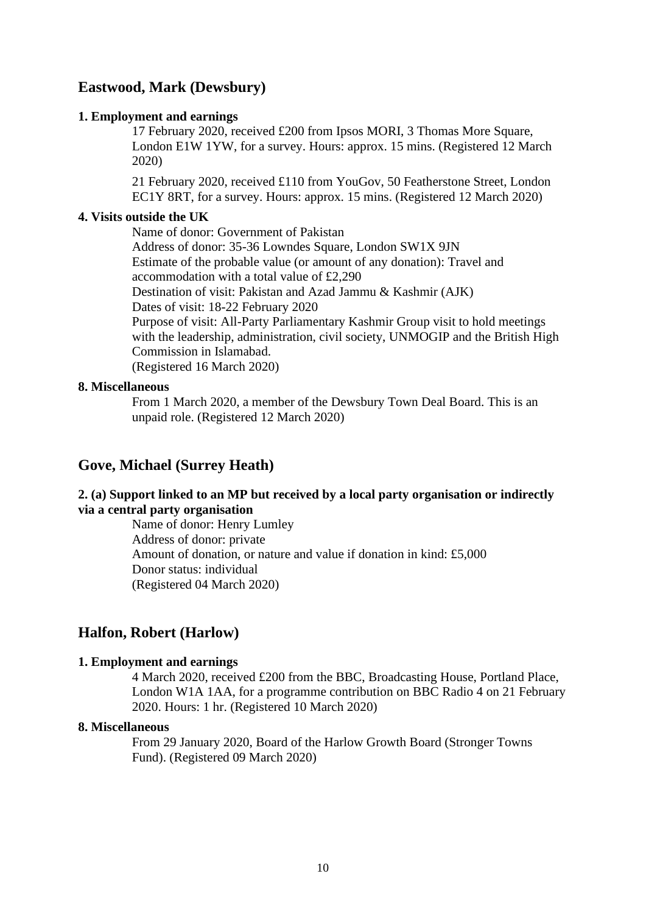## **Eastwood, Mark (Dewsbury)**

### **1. Employment and earnings**

17 February 2020, received £200 from Ipsos MORI, 3 Thomas More Square, London E1W 1YW, for a survey. Hours: approx. 15 mins. (Registered 12 March 2020)

21 February 2020, received £110 from YouGov, 50 Featherstone Street, London EC1Y 8RT, for a survey. Hours: approx. 15 mins. (Registered 12 March 2020)

### **4. Visits outside the UK**

Name of donor: Government of Pakistan Address of donor: 35-36 Lowndes Square, London SW1X 9JN Estimate of the probable value (or amount of any donation): Travel and accommodation with a total value of £2,290 Destination of visit: Pakistan and Azad Jammu & Kashmir (AJK) Dates of visit: 18-22 February 2020 Purpose of visit: All-Party Parliamentary Kashmir Group visit to hold meetings with the leadership, administration, civil society, UNMOGIP and the British High Commission in Islamabad. (Registered 16 March 2020)

### **8. Miscellaneous**

From 1 March 2020, a member of the Dewsbury Town Deal Board. This is an unpaid role. (Registered 12 March 2020)

## **Gove, Michael (Surrey Heath)**

## **2. (a) Support linked to an MP but received by a local party organisation or indirectly via a central party organisation**

Name of donor: Henry Lumley Address of donor: private Amount of donation, or nature and value if donation in kind: £5,000 Donor status: individual (Registered 04 March 2020)

## **Halfon, Robert (Harlow)**

### **1. Employment and earnings**

4 March 2020, received £200 from the BBC, Broadcasting House, Portland Place, London W1A 1AA, for a programme contribution on BBC Radio 4 on 21 February 2020. Hours: 1 hr. (Registered 10 March 2020)

#### **8. Miscellaneous**

From 29 January 2020, Board of the Harlow Growth Board (Stronger Towns Fund). (Registered 09 March 2020)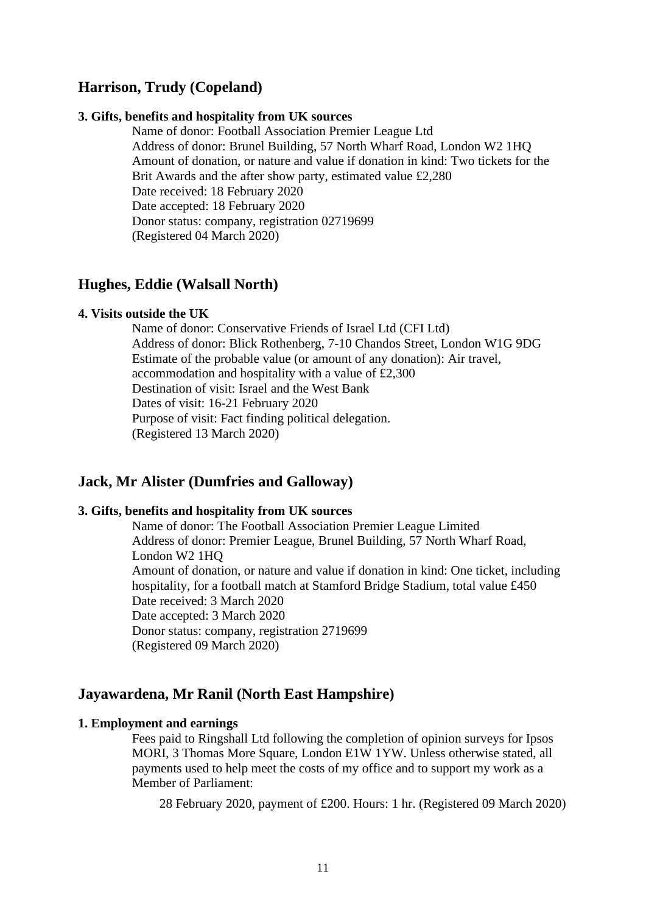## **Harrison, Trudy (Copeland)**

#### **3. Gifts, benefits and hospitality from UK sources**

Name of donor: Football Association Premier League Ltd Address of donor: Brunel Building, 57 North Wharf Road, London W2 1HQ Amount of donation, or nature and value if donation in kind: Two tickets for the Brit Awards and the after show party, estimated value £2,280 Date received: 18 February 2020 Date accepted: 18 February 2020 Donor status: company, registration 02719699 (Registered 04 March 2020)

## **Hughes, Eddie (Walsall North)**

#### **4. Visits outside the UK**

Name of donor: Conservative Friends of Israel Ltd (CFI Ltd) Address of donor: Blick Rothenberg, 7-10 Chandos Street, London W1G 9DG Estimate of the probable value (or amount of any donation): Air travel, accommodation and hospitality with a value of £2,300 Destination of visit: Israel and the West Bank Dates of visit: 16-21 February 2020 Purpose of visit: Fact finding political delegation. (Registered 13 March 2020)

## **Jack, Mr Alister (Dumfries and Galloway)**

#### **3. Gifts, benefits and hospitality from UK sources**

Name of donor: The Football Association Premier League Limited Address of donor: Premier League, Brunel Building, 57 North Wharf Road, London W<sub>2</sub> 1H<sub>O</sub> Amount of donation, or nature and value if donation in kind: One ticket, including hospitality, for a football match at Stamford Bridge Stadium, total value £450 Date received: 3 March 2020 Date accepted: 3 March 2020 Donor status: company, registration 2719699 (Registered 09 March 2020)

## **Jayawardena, Mr Ranil (North East Hampshire)**

#### **1. Employment and earnings**

Fees paid to Ringshall Ltd following the completion of opinion surveys for Ipsos MORI, 3 Thomas More Square, London E1W 1YW. Unless otherwise stated, all payments used to help meet the costs of my office and to support my work as a Member of Parliament:

28 February 2020, payment of £200. Hours: 1 hr. (Registered 09 March 2020)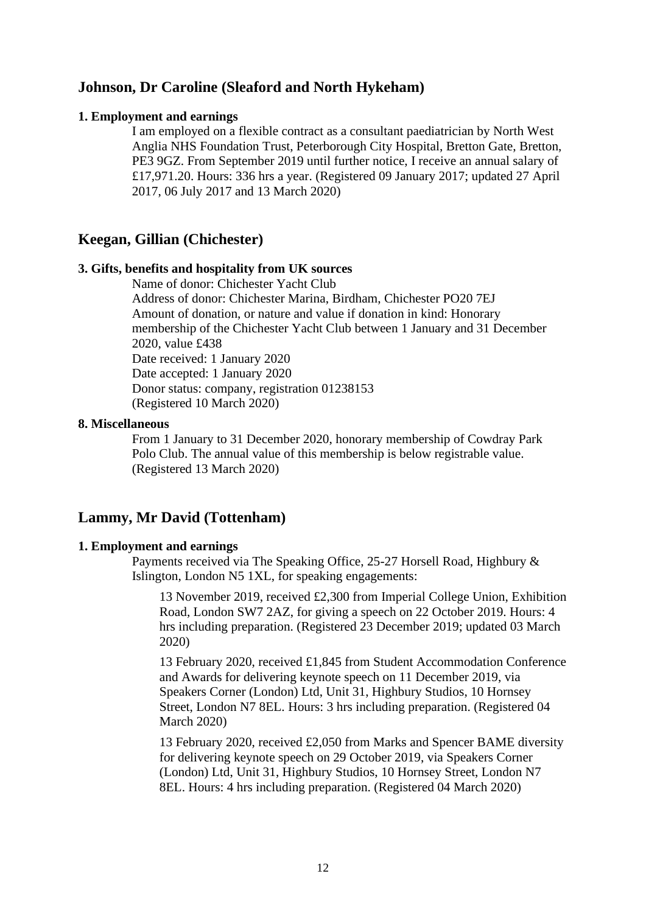## **Johnson, Dr Caroline (Sleaford and North Hykeham)**

#### **1. Employment and earnings**

I am employed on a flexible contract as a consultant paediatrician by North West Anglia NHS Foundation Trust, Peterborough City Hospital, Bretton Gate, Bretton, PE3 9GZ. From September 2019 until further notice, I receive an annual salary of £17,971.20. Hours: 336 hrs a year. (Registered 09 January 2017; updated 27 April 2017, 06 July 2017 and 13 March 2020)

## **Keegan, Gillian (Chichester)**

## **3. Gifts, benefits and hospitality from UK sources**

Name of donor: Chichester Yacht Club

Address of donor: Chichester Marina, Birdham, Chichester PO20 7EJ Amount of donation, or nature and value if donation in kind: Honorary membership of the Chichester Yacht Club between 1 January and 31 December 2020, value £438 Date received: 1 January 2020 Date accepted: 1 January 2020 Donor status: company, registration 01238153 (Registered 10 March 2020)

### **8. Miscellaneous**

From 1 January to 31 December 2020, honorary membership of Cowdray Park Polo Club. The annual value of this membership is below registrable value. (Registered 13 March 2020)

## **Lammy, Mr David (Tottenham)**

#### **1. Employment and earnings**

Payments received via The Speaking Office, 25-27 Horsell Road, Highbury & Islington, London N5 1XL, for speaking engagements:

13 November 2019, received £2,300 from Imperial College Union, Exhibition Road, London SW7 2AZ, for giving a speech on 22 October 2019. Hours: 4 hrs including preparation. (Registered 23 December 2019; updated 03 March 2020)

13 February 2020, received £1,845 from Student Accommodation Conference and Awards for delivering keynote speech on 11 December 2019, via Speakers Corner (London) Ltd, Unit 31, Highbury Studios, 10 Hornsey Street, London N7 8EL. Hours: 3 hrs including preparation. (Registered 04 March 2020)

13 February 2020, received £2,050 from Marks and Spencer BAME diversity for delivering keynote speech on 29 October 2019, via Speakers Corner (London) Ltd, Unit 31, Highbury Studios, 10 Hornsey Street, London N7 8EL. Hours: 4 hrs including preparation. (Registered 04 March 2020)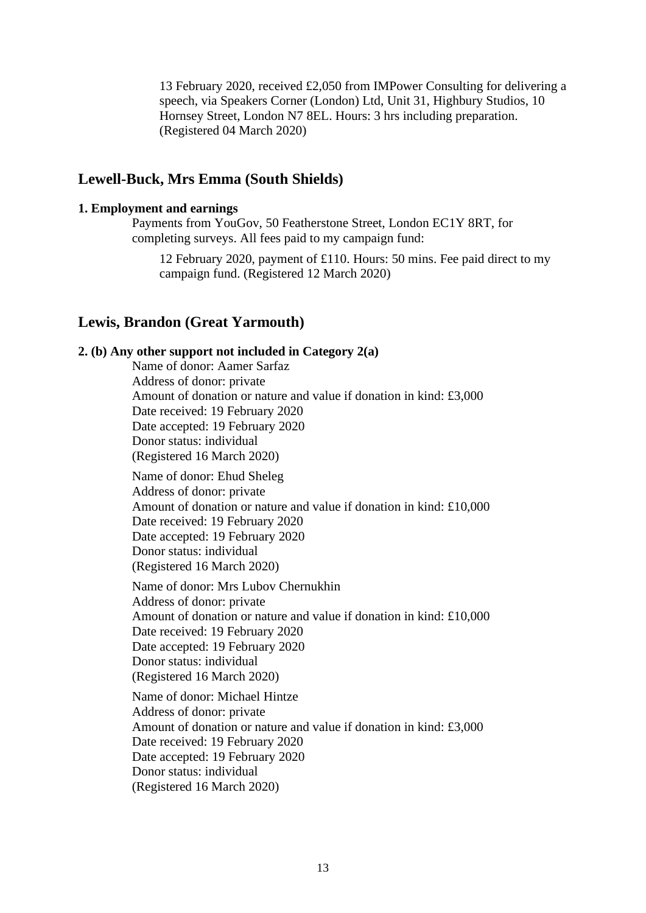13 February 2020, received £2,050 from IMPower Consulting for delivering a speech, via Speakers Corner (London) Ltd, Unit 31, Highbury Studios, 10 Hornsey Street, London N7 8EL. Hours: 3 hrs including preparation. (Registered 04 March 2020)

## **Lewell-Buck, Mrs Emma (South Shields)**

#### **1. Employment and earnings**

Payments from YouGov, 50 Featherstone Street, London EC1Y 8RT, for completing surveys. All fees paid to my campaign fund:

12 February 2020, payment of £110. Hours: 50 mins. Fee paid direct to my campaign fund. (Registered 12 March 2020)

### **Lewis, Brandon (Great Yarmouth)**

### **2. (b) Any other support not included in Category 2(a)**

Name of donor: Aamer Sarfaz Address of donor: private Amount of donation or nature and value if donation in kind: £3,000 Date received: 19 February 2020 Date accepted: 19 February 2020 Donor status: individual (Registered 16 March 2020)

Name of donor: Ehud Sheleg Address of donor: private Amount of donation or nature and value if donation in kind: £10,000 Date received: 19 February 2020 Date accepted: 19 February 2020 Donor status: individual (Registered 16 March 2020)

Name of donor: Mrs Lubov Chernukhin Address of donor: private Amount of donation or nature and value if donation in kind: £10,000 Date received: 19 February 2020 Date accepted: 19 February 2020 Donor status: individual (Registered 16 March 2020)

Name of donor: Michael Hintze Address of donor: private Amount of donation or nature and value if donation in kind: £3,000 Date received: 19 February 2020 Date accepted: 19 February 2020 Donor status: individual (Registered 16 March 2020)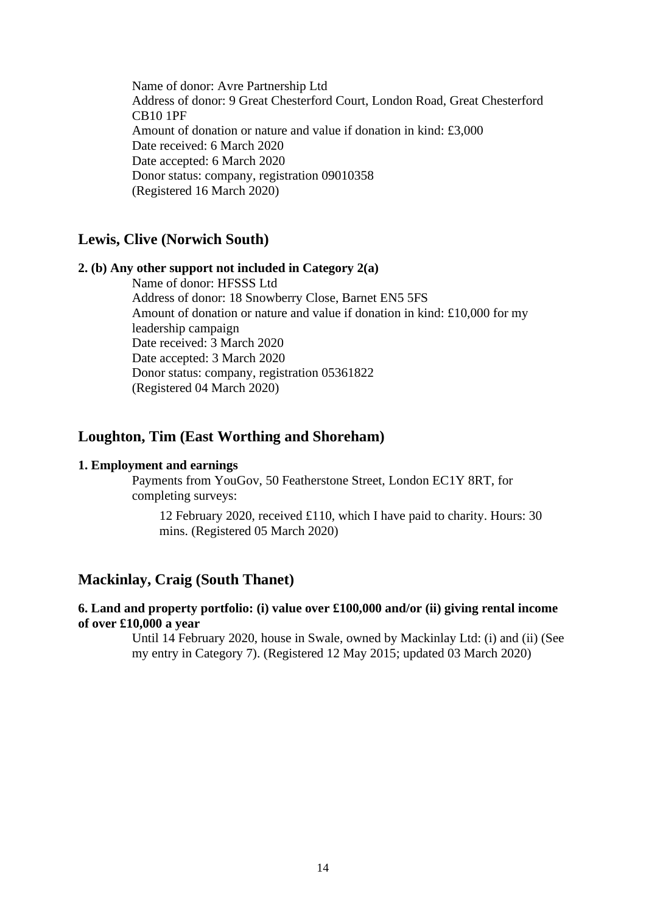Name of donor: Avre Partnership Ltd Address of donor: 9 Great Chesterford Court, London Road, Great Chesterford CB10 1PF Amount of donation or nature and value if donation in kind: £3,000 Date received: 6 March 2020 Date accepted: 6 March 2020 Donor status: company, registration 09010358 (Registered 16 March 2020)

## **Lewis, Clive (Norwich South)**

#### **2. (b) Any other support not included in Category 2(a)**

Name of donor: HFSSS Ltd Address of donor: 18 Snowberry Close, Barnet EN5 5FS Amount of donation or nature and value if donation in kind: £10,000 for my leadership campaign Date received: 3 March 2020 Date accepted: 3 March 2020 Donor status: company, registration 05361822 (Registered 04 March 2020)

## **Loughton, Tim (East Worthing and Shoreham)**

#### **1. Employment and earnings**

Payments from YouGov, 50 Featherstone Street, London EC1Y 8RT, for completing surveys:

12 February 2020, received £110, which I have paid to charity. Hours: 30 mins. (Registered 05 March 2020)

## **Mackinlay, Craig (South Thanet)**

### **6. Land and property portfolio: (i) value over £100,000 and/or (ii) giving rental income of over £10,000 a year**

Until 14 February 2020, house in Swale, owned by Mackinlay Ltd: (i) and (ii) (See my entry in Category 7). (Registered 12 May 2015; updated 03 March 2020)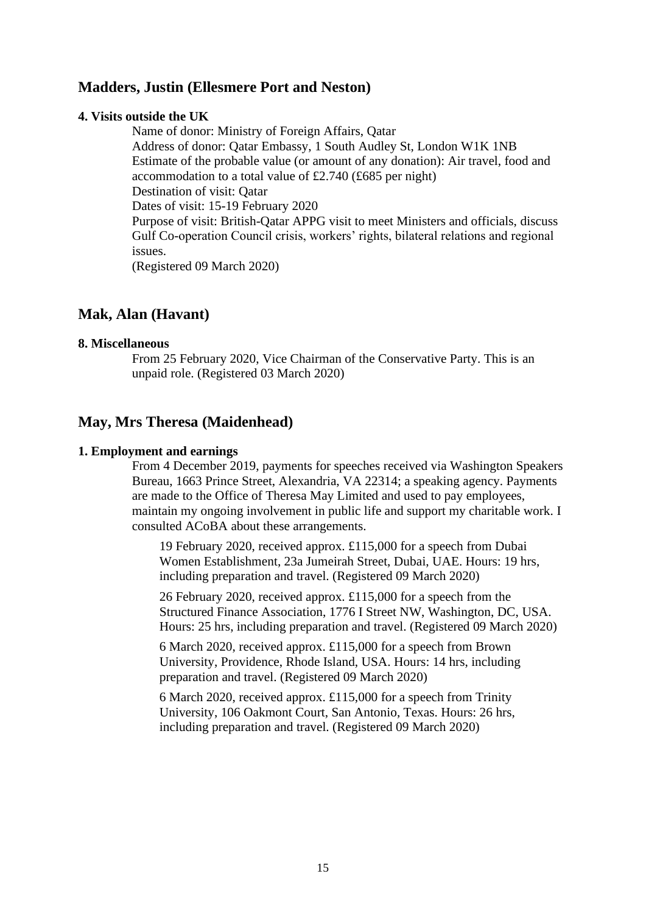## **Madders, Justin (Ellesmere Port and Neston)**

### **4. Visits outside the UK**

Name of donor: Ministry of Foreign Affairs, Qatar Address of donor: Qatar Embassy, 1 South Audley St, London W1K 1NB Estimate of the probable value (or amount of any donation): Air travel, food and accommodation to a total value of £2.740 (£685 per night) Destination of visit: Qatar Dates of visit: 15-19 February 2020 Purpose of visit: British-Qatar APPG visit to meet Ministers and officials, discuss Gulf Co-operation Council crisis, workers' rights, bilateral relations and regional issues. (Registered 09 March 2020)

## **Mak, Alan (Havant)**

### **8. Miscellaneous**

From 25 February 2020, Vice Chairman of the Conservative Party. This is an unpaid role. (Registered 03 March 2020)

## **May, Mrs Theresa (Maidenhead)**

### **1. Employment and earnings**

From 4 December 2019, payments for speeches received via Washington Speakers Bureau, 1663 Prince Street, Alexandria, VA 22314; a speaking agency. Payments are made to the Office of Theresa May Limited and used to pay employees, maintain my ongoing involvement in public life and support my charitable work. I consulted ACoBA about these arrangements.

19 February 2020, received approx. £115,000 for a speech from Dubai Women Establishment, 23a Jumeirah Street, Dubai, UAE. Hours: 19 hrs, including preparation and travel. (Registered 09 March 2020)

26 February 2020, received approx. £115,000 for a speech from the Structured Finance Association, 1776 I Street NW, Washington, DC, USA. Hours: 25 hrs, including preparation and travel. (Registered 09 March 2020)

6 March 2020, received approx. £115,000 for a speech from Brown University, Providence, Rhode Island, USA. Hours: 14 hrs, including preparation and travel. (Registered 09 March 2020)

6 March 2020, received approx. £115,000 for a speech from Trinity University, 106 Oakmont Court, San Antonio, Texas. Hours: 26 hrs, including preparation and travel. (Registered 09 March 2020)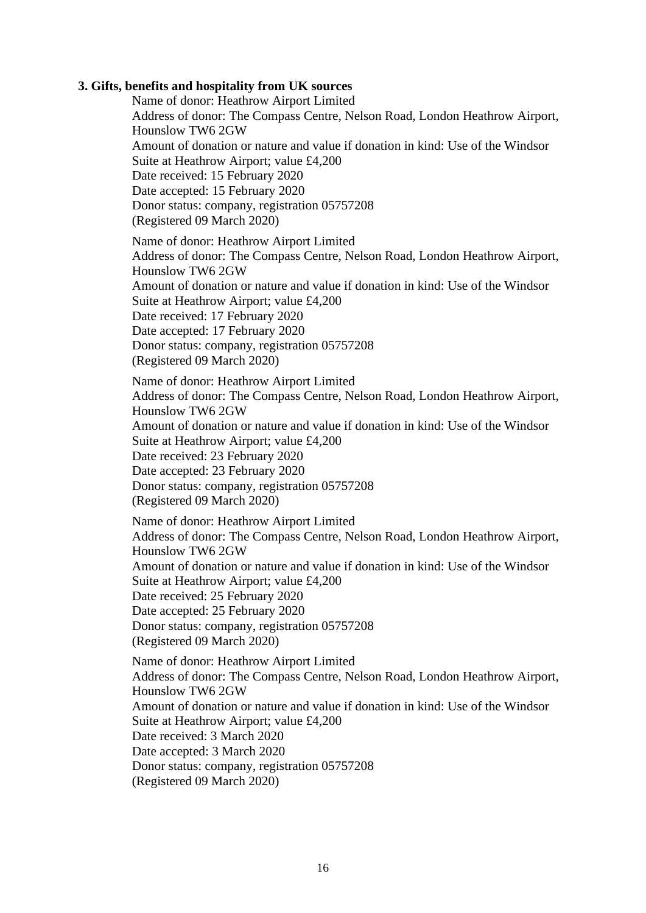### **3. Gifts, benefits and hospitality from UK sources**

Name of donor: Heathrow Airport Limited Address of donor: The Compass Centre, Nelson Road, London Heathrow Airport, Hounslow TW6 2GW Amount of donation or nature and value if donation in kind: Use of the Windsor Suite at Heathrow Airport; value £4,200 Date received: 15 February 2020 Date accepted: 15 February 2020 Donor status: company, registration 05757208 (Registered 09 March 2020) Name of donor: Heathrow Airport Limited Address of donor: The Compass Centre, Nelson Road, London Heathrow Airport, Hounslow TW6 2GW Amount of donation or nature and value if donation in kind: Use of the Windsor Suite at Heathrow Airport; value £4,200 Date received: 17 February 2020 Date accepted: 17 February 2020 Donor status: company, registration 05757208 (Registered 09 March 2020) Name of donor: Heathrow Airport Limited Address of donor: The Compass Centre, Nelson Road, London Heathrow Airport, Hounslow TW6 2GW Amount of donation or nature and value if donation in kind: Use of the Windsor Suite at Heathrow Airport; value £4,200 Date received: 23 February 2020 Date accepted: 23 February 2020 Donor status: company, registration 05757208 (Registered 09 March 2020) Name of donor: Heathrow Airport Limited Address of donor: The Compass Centre, Nelson Road, London Heathrow Airport, Hounslow TW6 2GW Amount of donation or nature and value if donation in kind: Use of the Windsor Suite at Heathrow Airport; value £4,200 Date received: 25 February 2020 Date accepted: 25 February 2020 Donor status: company, registration 05757208 (Registered 09 March 2020) Name of donor: Heathrow Airport Limited Address of donor: The Compass Centre, Nelson Road, London Heathrow Airport, Hounslow TW6 2GW Amount of donation or nature and value if donation in kind: Use of the Windsor Suite at Heathrow Airport; value £4,200 Date received: 3 March 2020 Date accepted: 3 March 2020 Donor status: company, registration 05757208 (Registered 09 March 2020)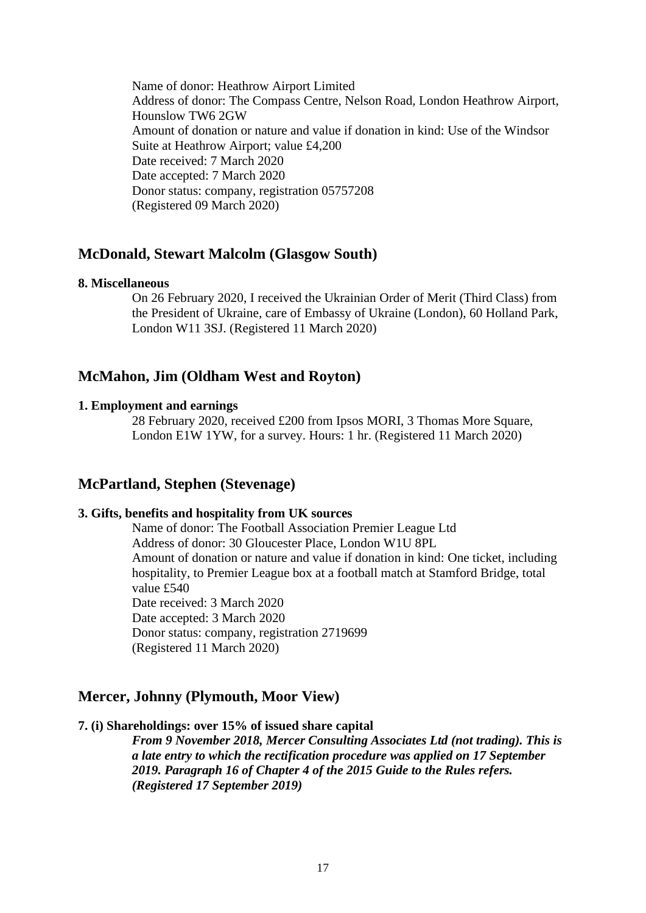Name of donor: Heathrow Airport Limited Address of donor: The Compass Centre, Nelson Road, London Heathrow Airport, Hounslow TW6 2GW Amount of donation or nature and value if donation in kind: Use of the Windsor Suite at Heathrow Airport; value £4,200 Date received: 7 March 2020 Date accepted: 7 March 2020 Donor status: company, registration 05757208 (Registered 09 March 2020)

## **McDonald, Stewart Malcolm (Glasgow South)**

#### **8. Miscellaneous**

On 26 February 2020, I received the Ukrainian Order of Merit (Third Class) from the President of Ukraine, care of Embassy of Ukraine (London), 60 Holland Park, London W11 3SJ. (Registered 11 March 2020)

## **McMahon, Jim (Oldham West and Royton)**

### **1. Employment and earnings**

28 February 2020, received £200 from Ipsos MORI, 3 Thomas More Square, London E1W 1YW, for a survey. Hours: 1 hr. (Registered 11 March 2020)

## **McPartland, Stephen (Stevenage)**

### **3. Gifts, benefits and hospitality from UK sources**

Name of donor: The Football Association Premier League Ltd Address of donor: 30 Gloucester Place, London W1U 8PL Amount of donation or nature and value if donation in kind: One ticket, including hospitality, to Premier League box at a football match at Stamford Bridge, total value £540 Date received: 3 March 2020 Date accepted: 3 March 2020 Donor status: company, registration 2719699 (Registered 11 March 2020)

### **Mercer, Johnny (Plymouth, Moor View)**

### **7. (i) Shareholdings: over 15% of issued share capital**

*From 9 November 2018, Mercer Consulting Associates Ltd (not trading). This is a late entry to which the rectification procedure was applied on 17 September 2019. Paragraph 16 of Chapter 4 of the 2015 Guide to the Rules refers. (Registered 17 September 2019)*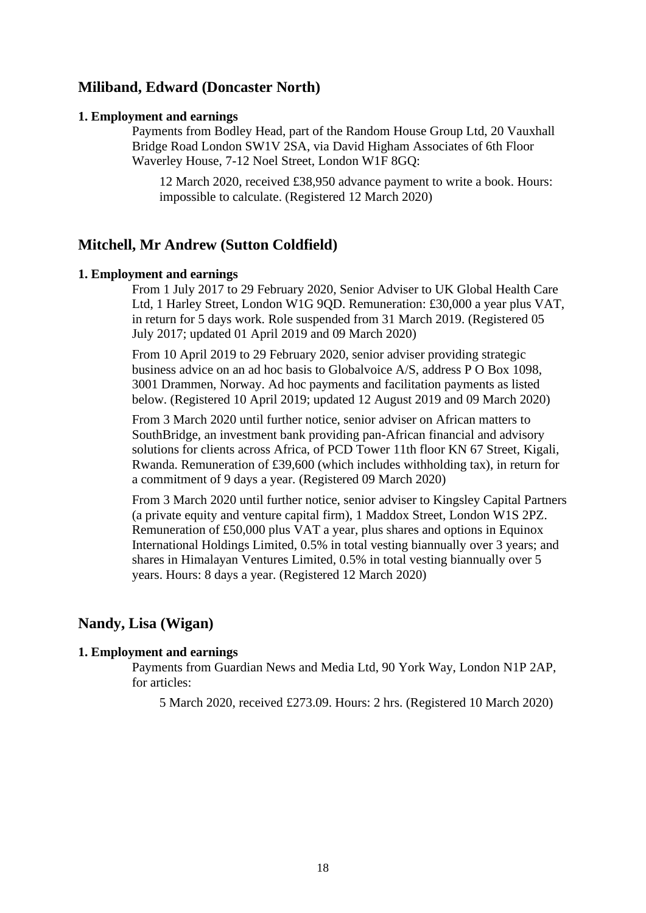## **Miliband, Edward (Doncaster North)**

#### **1. Employment and earnings**

Payments from Bodley Head, part of the Random House Group Ltd, 20 Vauxhall Bridge Road London SW1V 2SA, via David Higham Associates of 6th Floor Waverley House, 7-12 Noel Street, London W1F 8GQ:

12 March 2020, received £38,950 advance payment to write a book. Hours: impossible to calculate. (Registered 12 March 2020)

## **Mitchell, Mr Andrew (Sutton Coldfield)**

#### **1. Employment and earnings**

From 1 July 2017 to 29 February 2020, Senior Adviser to UK Global Health Care Ltd, 1 Harley Street, London W1G 9QD. Remuneration: £30,000 a year plus VAT, in return for 5 days work. Role suspended from 31 March 2019. (Registered 05 July 2017; updated 01 April 2019 and 09 March 2020)

From 10 April 2019 to 29 February 2020, senior adviser providing strategic business advice on an ad hoc basis to Globalvoice A/S, address P O Box 1098, 3001 Drammen, Norway. Ad hoc payments and facilitation payments as listed below. (Registered 10 April 2019; updated 12 August 2019 and 09 March 2020)

From 3 March 2020 until further notice, senior adviser on African matters to SouthBridge, an investment bank providing pan-African financial and advisory solutions for clients across Africa, of PCD Tower 11th floor KN 67 Street, Kigali, Rwanda. Remuneration of £39,600 (which includes withholding tax), in return for a commitment of 9 days a year. (Registered 09 March 2020)

From 3 March 2020 until further notice, senior adviser to Kingsley Capital Partners (a private equity and venture capital firm), 1 Maddox Street, London W1S 2PZ. Remuneration of £50,000 plus VAT a year, plus shares and options in Equinox International Holdings Limited, 0.5% in total vesting biannually over 3 years; and shares in Himalayan Ventures Limited, 0.5% in total vesting biannually over 5 years. Hours: 8 days a year. (Registered 12 March 2020)

## **Nandy, Lisa (Wigan)**

#### **1. Employment and earnings**

Payments from Guardian News and Media Ltd, 90 York Way, London N1P 2AP, for articles:

5 March 2020, received £273.09. Hours: 2 hrs. (Registered 10 March 2020)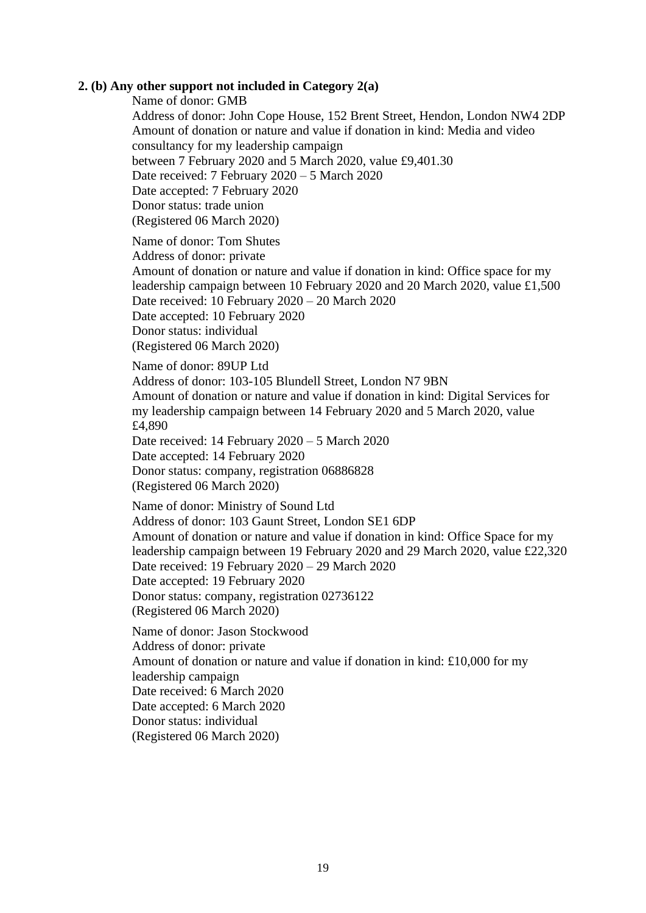### **2. (b) Any other support not included in Category 2(a)**

Name of donor: GMB

Address of donor: John Cope House, 152 Brent Street, Hendon, London NW4 2DP Amount of donation or nature and value if donation in kind: Media and video consultancy for my leadership campaign between 7 February 2020 and 5 March 2020, value £9,401.30 Date received: 7 February 2020 – 5 March 2020 Date accepted: 7 February 2020 Donor status: trade union (Registered 06 March 2020)

Name of donor: Tom Shutes Address of donor: private Amount of donation or nature and value if donation in kind: Office space for my leadership campaign between 10 February 2020 and 20 March 2020, value £1,500 Date received: 10 February 2020 – 20 March 2020 Date accepted: 10 February 2020 Donor status: individual (Registered 06 March 2020)

Name of donor: 89UP Ltd Address of donor: 103-105 Blundell Street, London N7 9BN Amount of donation or nature and value if donation in kind: Digital Services for my leadership campaign between 14 February 2020 and 5 March 2020, value £4,890 Date received: 14 February 2020 – 5 March 2020

Date accepted: 14 February 2020 Donor status: company, registration 06886828 (Registered 06 March 2020)

Name of donor: Ministry of Sound Ltd Address of donor: 103 Gaunt Street, London SE1 6DP Amount of donation or nature and value if donation in kind: Office Space for my leadership campaign between 19 February 2020 and 29 March 2020, value £22,320 Date received: 19 February 2020 – 29 March 2020 Date accepted: 19 February 2020 Donor status: company, registration 02736122 (Registered 06 March 2020)

Name of donor: Jason Stockwood Address of donor: private Amount of donation or nature and value if donation in kind: £10,000 for my leadership campaign Date received: 6 March 2020 Date accepted: 6 March 2020 Donor status: individual (Registered 06 March 2020)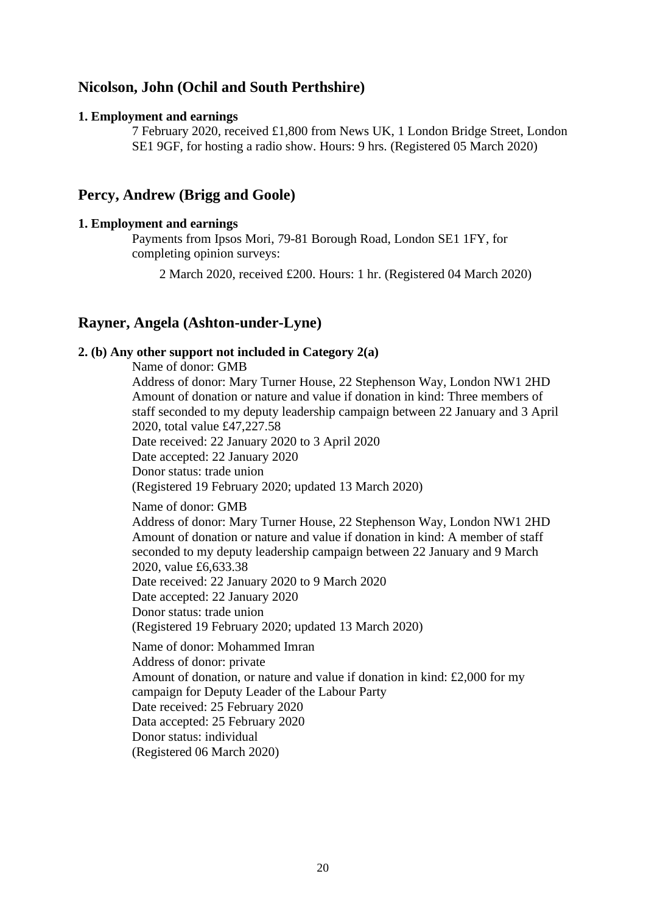## **Nicolson, John (Ochil and South Perthshire)**

### **1. Employment and earnings**

7 February 2020, received £1,800 from News UK, 1 London Bridge Street, London SE1 9GF, for hosting a radio show. Hours: 9 hrs. (Registered 05 March 2020)

## **Percy, Andrew (Brigg and Goole)**

### **1. Employment and earnings**

Payments from Ipsos Mori, 79-81 Borough Road, London SE1 1FY, for completing opinion surveys:

2 March 2020, received £200. Hours: 1 hr. (Registered 04 March 2020)

## **Rayner, Angela (Ashton-under-Lyne)**

## **2. (b) Any other support not included in Category 2(a)**

Name of donor: GMB Address of donor: Mary Turner House, 22 Stephenson Way, London NW1 2HD Amount of donation or nature and value if donation in kind: Three members of staff seconded to my deputy leadership campaign between 22 January and 3 April 2020, total value £47,227.58 Date received: 22 January 2020 to 3 April 2020 Date accepted: 22 January 2020 Donor status: trade union (Registered 19 February 2020; updated 13 March 2020) Name of donor: GMB

Address of donor: Mary Turner House, 22 Stephenson Way, London NW1 2HD Amount of donation or nature and value if donation in kind: A member of staff seconded to my deputy leadership campaign between 22 January and 9 March 2020, value £6,633.38 Date received: 22 January 2020 to 9 March 2020 Date accepted: 22 January 2020 Donor status: trade union (Registered 19 February 2020; updated 13 March 2020) Name of donor: Mohammed Imran Address of donor: private Amount of donation, or nature and value if donation in kind: £2,000 for my campaign for Deputy Leader of the Labour Party Date received: 25 February 2020 Data accepted: 25 February 2020 Donor status: individual (Registered 06 March 2020)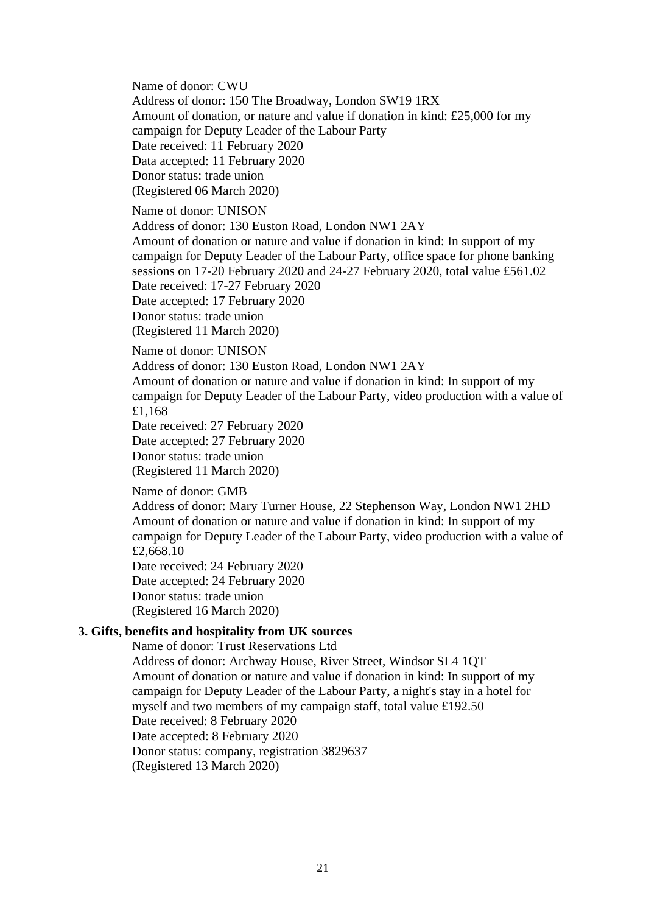Name of donor: CWU Address of donor: 150 The Broadway, London SW19 1RX Amount of donation, or nature and value if donation in kind: £25,000 for my campaign for Deputy Leader of the Labour Party Date received: 11 February 2020 Data accepted: 11 February 2020 Donor status: trade union (Registered 06 March 2020)

Name of donor: UNISON

Address of donor: 130 Euston Road, London NW1 2AY

Amount of donation or nature and value if donation in kind: In support of my campaign for Deputy Leader of the Labour Party, office space for phone banking sessions on 17-20 February 2020 and 24-27 February 2020, total value £561.02 Date received: 17-27 February 2020

Date accepted: 17 February 2020

Donor status: trade union

(Registered 11 March 2020)

### Name of donor: UNISON

Address of donor: 130 Euston Road, London NW1 2AY

Amount of donation or nature and value if donation in kind: In support of my campaign for Deputy Leader of the Labour Party, video production with a value of £1,168

Date received: 27 February 2020 Date accepted: 27 February 2020 Donor status: trade union (Registered 11 March 2020)

Name of donor: GMB

Address of donor: Mary Turner House, 22 Stephenson Way, London NW1 2HD Amount of donation or nature and value if donation in kind: In support of my campaign for Deputy Leader of the Labour Party, video production with a value of £2,668.10

Date received: 24 February 2020 Date accepted: 24 February 2020 Donor status: trade union (Registered 16 March 2020)

### **3. Gifts, benefits and hospitality from UK sources**

Name of donor: Trust Reservations Ltd Address of donor: Archway House, River Street, Windsor SL4 1QT Amount of donation or nature and value if donation in kind: In support of my campaign for Deputy Leader of the Labour Party, a night's stay in a hotel for myself and two members of my campaign staff, total value £192.50

Date received: 8 February 2020

Date accepted: 8 February 2020

Donor status: company, registration 3829637

(Registered 13 March 2020)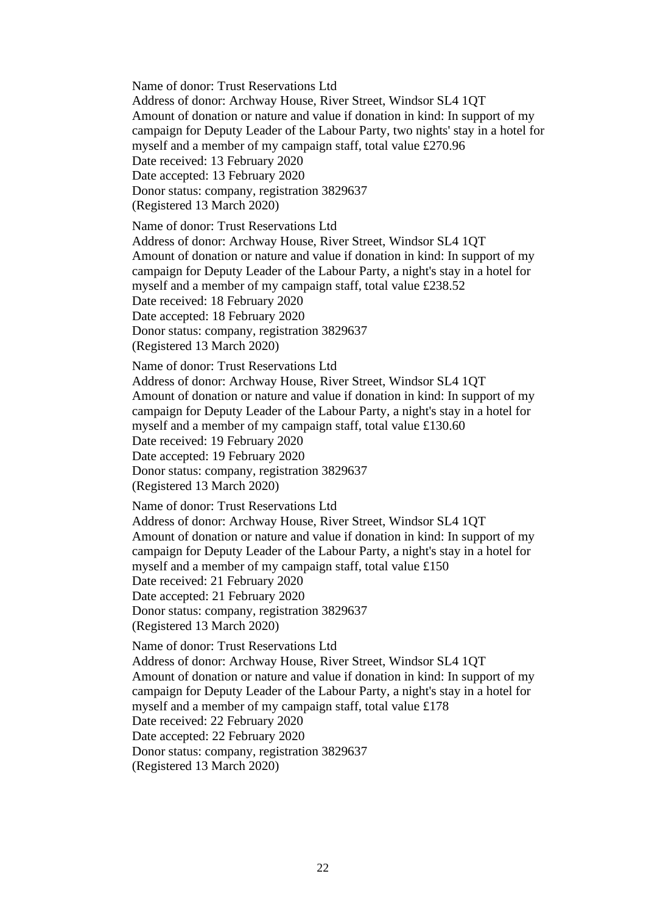Name of donor: Trust Reservations Ltd

Address of donor: Archway House, River Street, Windsor SL4 1QT Amount of donation or nature and value if donation in kind: In support of my campaign for Deputy Leader of the Labour Party, two nights' stay in a hotel for myself and a member of my campaign staff, total value £270.96 Date received: 13 February 2020 Date accepted: 13 February 2020 Donor status: company, registration 3829637

(Registered 13 March 2020)

Name of donor: Trust Reservations Ltd

Address of donor: Archway House, River Street, Windsor SL4 1QT Amount of donation or nature and value if donation in kind: In support of my campaign for Deputy Leader of the Labour Party, a night's stay in a hotel for myself and a member of my campaign staff, total value £238.52 Date received: 18 February 2020 Date accepted: 18 February 2020 Donor status: company, registration 3829637

(Registered 13 March 2020)

Name of donor: Trust Reservations Ltd

Address of donor: Archway House, River Street, Windsor SL4 1QT Amount of donation or nature and value if donation in kind: In support of my campaign for Deputy Leader of the Labour Party, a night's stay in a hotel for myself and a member of my campaign staff, total value £130.60 Date received: 19 February 2020 Date accepted: 19 February 2020 Donor status: company, registration 3829637 (Registered 13 March 2020)

Name of donor: Trust Reservations Ltd

Address of donor: Archway House, River Street, Windsor SL4 1QT Amount of donation or nature and value if donation in kind: In support of my campaign for Deputy Leader of the Labour Party, a night's stay in a hotel for myself and a member of my campaign staff, total value £150 Date received: 21 February 2020 Date accepted: 21 February 2020

Donor status: company, registration 3829637 (Registered 13 March 2020)

Name of donor: Trust Reservations Ltd

Address of donor: Archway House, River Street, Windsor SL4 1QT Amount of donation or nature and value if donation in kind: In support of my campaign for Deputy Leader of the Labour Party, a night's stay in a hotel for myself and a member of my campaign staff, total value £178 Date received: 22 February 2020 Date accepted: 22 February 2020 Donor status: company, registration 3829637 (Registered 13 March 2020)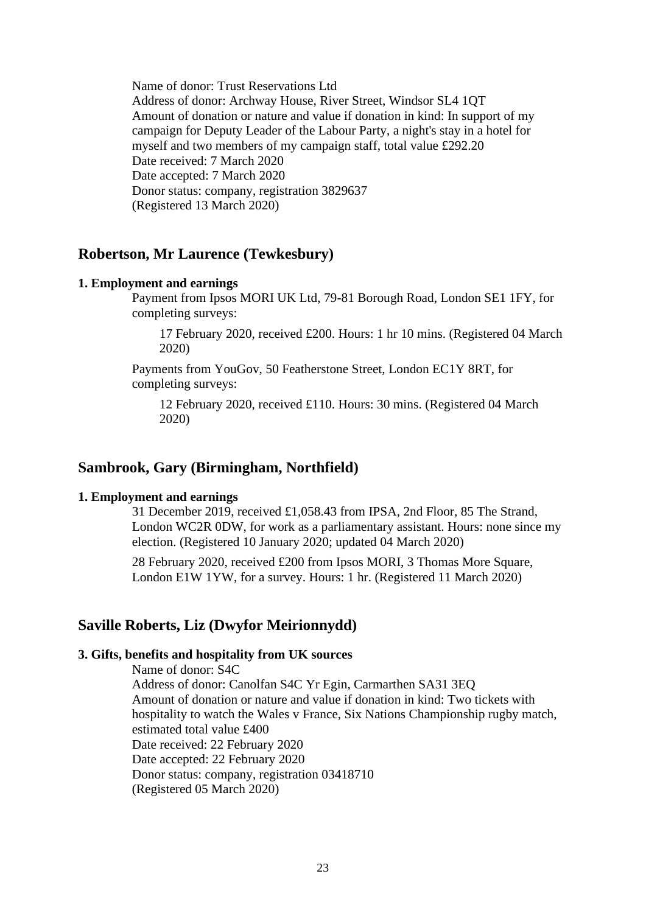Name of donor: Trust Reservations Ltd Address of donor: Archway House, River Street, Windsor SL4 1QT Amount of donation or nature and value if donation in kind: In support of my campaign for Deputy Leader of the Labour Party, a night's stay in a hotel for myself and two members of my campaign staff, total value £292.20 Date received: 7 March 2020 Date accepted: 7 March 2020 Donor status: company, registration 3829637 (Registered 13 March 2020)

### **Robertson, Mr Laurence (Tewkesbury)**

#### **1. Employment and earnings**

Payment from Ipsos MORI UK Ltd, 79-81 Borough Road, London SE1 1FY, for completing surveys:

17 February 2020, received £200. Hours: 1 hr 10 mins. (Registered 04 March 2020)

Payments from YouGov, 50 Featherstone Street, London EC1Y 8RT, for completing surveys:

12 February 2020, received £110. Hours: 30 mins. (Registered 04 March 2020)

### **Sambrook, Gary (Birmingham, Northfield)**

#### **1. Employment and earnings**

31 December 2019, received £1,058.43 from IPSA, 2nd Floor, 85 The Strand, London WC2R 0DW, for work as a parliamentary assistant. Hours: none since my election. (Registered 10 January 2020; updated 04 March 2020)

28 February 2020, received £200 from Ipsos MORI, 3 Thomas More Square, London E1W 1YW, for a survey. Hours: 1 hr. (Registered 11 March 2020)

## **Saville Roberts, Liz (Dwyfor Meirionnydd)**

#### **3. Gifts, benefits and hospitality from UK sources**

Name of donor: S4C Address of donor: Canolfan S4C Yr Egin, Carmarthen SA31 3EQ Amount of donation or nature and value if donation in kind: Two tickets with hospitality to watch the Wales v France, Six Nations Championship rugby match, estimated total value £400 Date received: 22 February 2020 Date accepted: 22 February 2020 Donor status: company, registration 03418710 (Registered 05 March 2020)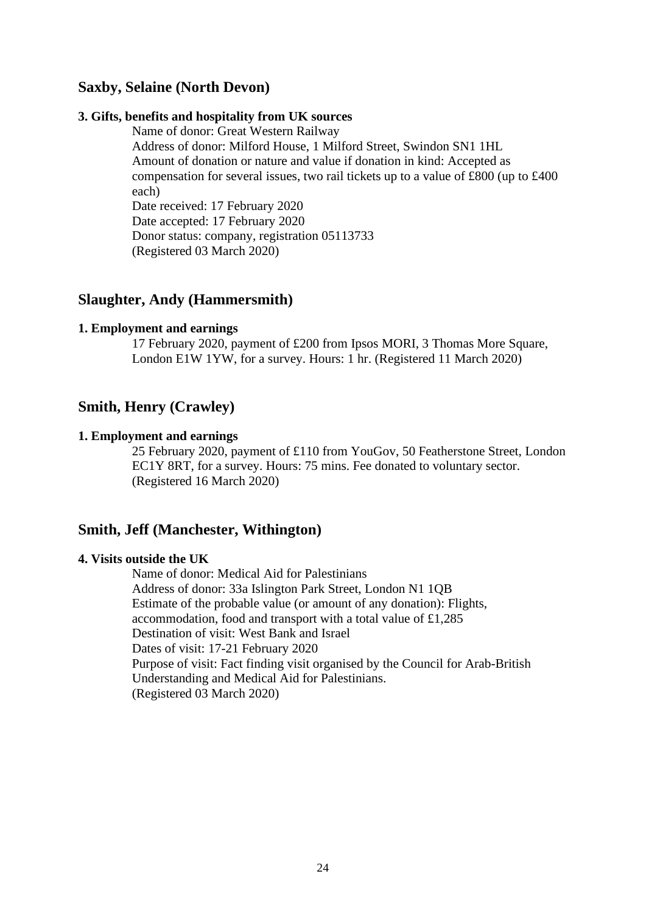## **Saxby, Selaine (North Devon)**

### **3. Gifts, benefits and hospitality from UK sources**

Name of donor: Great Western Railway

Address of donor: Milford House, 1 Milford Street, Swindon SN1 1HL Amount of donation or nature and value if donation in kind: Accepted as compensation for several issues, two rail tickets up to a value of £800 (up to £400 each) Date received: 17 February 2020

Date accepted: 17 February 2020 Donor status: company, registration 05113733 (Registered 03 March 2020)

## **Slaughter, Andy (Hammersmith)**

#### **1. Employment and earnings**

17 February 2020, payment of £200 from Ipsos MORI, 3 Thomas More Square, London E1W 1YW, for a survey. Hours: 1 hr. (Registered 11 March 2020)

## **Smith, Henry (Crawley)**

#### **1. Employment and earnings**

25 February 2020, payment of £110 from YouGov, 50 Featherstone Street, London EC1Y 8RT, for a survey. Hours: 75 mins. Fee donated to voluntary sector. (Registered 16 March 2020)

## **Smith, Jeff (Manchester, Withington)**

### **4. Visits outside the UK**

Name of donor: Medical Aid for Palestinians Address of donor: 33a Islington Park Street, London N1 1QB Estimate of the probable value (or amount of any donation): Flights, accommodation, food and transport with a total value of £1,285 Destination of visit: West Bank and Israel Dates of visit: 17-21 February 2020 Purpose of visit: Fact finding visit organised by the Council for Arab-British Understanding and Medical Aid for Palestinians. (Registered 03 March 2020)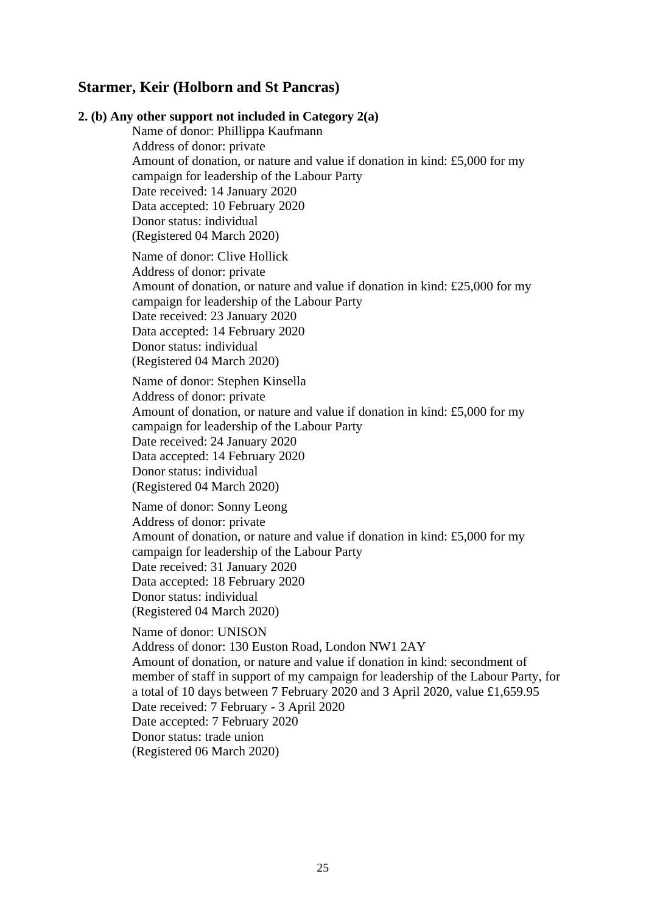## **Starmer, Keir (Holborn and St Pancras)**

## **2. (b) Any other support not included in Category 2(a)** Name of donor: Phillippa Kaufmann Address of donor: private Amount of donation, or nature and value if donation in kind: £5,000 for my campaign for leadership of the Labour Party Date received: 14 January 2020 Data accepted: 10 February 2020 Donor status: individual (Registered 04 March 2020) Name of donor: Clive Hollick Address of donor: private Amount of donation, or nature and value if donation in kind: £25,000 for my campaign for leadership of the Labour Party Date received: 23 January 2020 Data accepted: 14 February 2020 Donor status: individual (Registered 04 March 2020) Name of donor: Stephen Kinsella Address of donor: private Amount of donation, or nature and value if donation in kind: £5,000 for my campaign for leadership of the Labour Party Date received: 24 January 2020 Data accepted: 14 February 2020 Donor status: individual (Registered 04 March 2020) Name of donor: Sonny Leong Address of donor: private Amount of donation, or nature and value if donation in kind: £5,000 for my campaign for leadership of the Labour Party Date received: 31 January 2020 Data accepted: 18 February 2020 Donor status: individual (Registered 04 March 2020) Name of donor: UNISON Address of donor: 130 Euston Road, London NW1 2AY Amount of donation, or nature and value if donation in kind: secondment of member of staff in support of my campaign for leadership of the Labour Party, for a total of 10 days between 7 February 2020 and 3 April 2020, value £1,659.95 Date received: 7 February - 3 April 2020 Date accepted: 7 February 2020 Donor status: trade union (Registered 06 March 2020)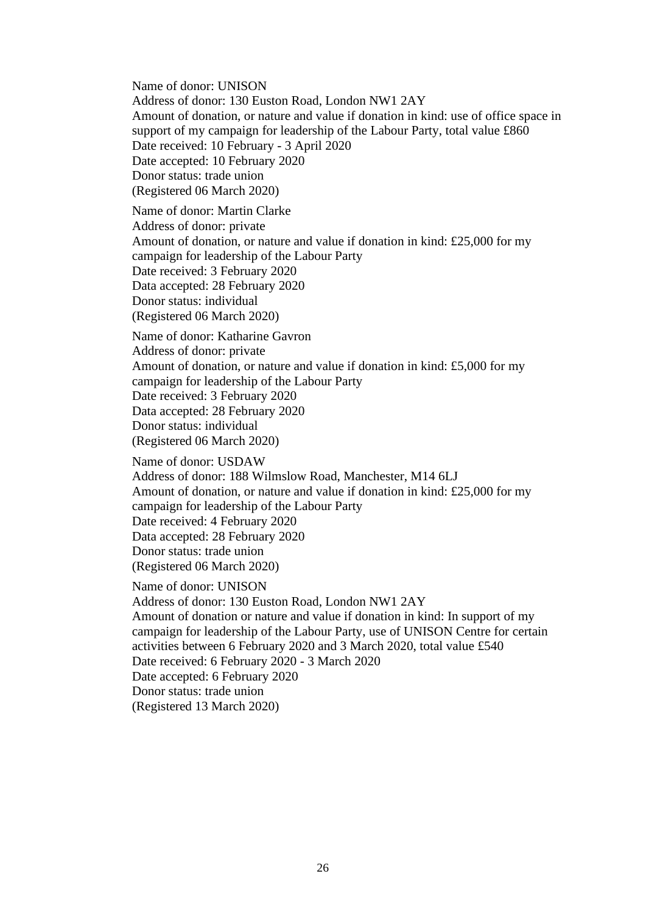Name of donor: UNISON Address of donor: 130 Euston Road, London NW1 2AY Amount of donation, or nature and value if donation in kind: use of office space in support of my campaign for leadership of the Labour Party, total value £860 Date received: 10 February - 3 April 2020 Date accepted: 10 February 2020 Donor status: trade union (Registered 06 March 2020) Name of donor: Martin Clarke Address of donor: private Amount of donation, or nature and value if donation in kind: £25,000 for my campaign for leadership of the Labour Party Date received: 3 February 2020 Data accepted: 28 February 2020 Donor status: individual (Registered 06 March 2020) Name of donor: Katharine Gavron Address of donor: private Amount of donation, or nature and value if donation in kind: £5,000 for my campaign for leadership of the Labour Party Date received: 3 February 2020 Data accepted: 28 February 2020 Donor status: individual (Registered 06 March 2020) Name of donor: USDAW Address of donor: 188 Wilmslow Road, Manchester, M14 6LJ Amount of donation, or nature and value if donation in kind: £25,000 for my campaign for leadership of the Labour Party Date received: 4 February 2020

Data accepted: 28 February 2020 Donor status: trade union

(Registered 06 March 2020)

Name of donor: UNISON Address of donor: 130 Euston Road, London NW1 2AY Amount of donation or nature and value if donation in kind: In support of my campaign for leadership of the Labour Party, use of UNISON Centre for certain activities between 6 February 2020 and 3 March 2020, total value £540 Date received: 6 February 2020 - 3 March 2020 Date accepted: 6 February 2020 Donor status: trade union (Registered 13 March 2020)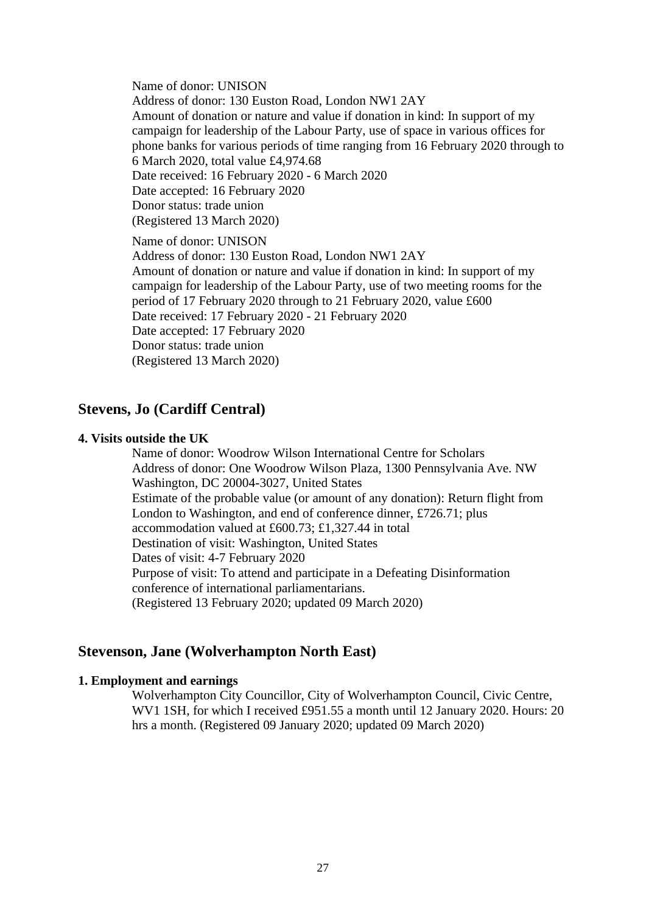Name of donor: UNISON

Address of donor: 130 Euston Road, London NW1 2AY Amount of donation or nature and value if donation in kind: In support of my campaign for leadership of the Labour Party, use of space in various offices for phone banks for various periods of time ranging from 16 February 2020 through to 6 March 2020, total value £4,974.68 Date received: 16 February 2020 - 6 March 2020 Date accepted: 16 February 2020 Donor status: trade union (Registered 13 March 2020)

Name of donor: UNISON Address of donor: 130 Euston Road, London NW1 2AY Amount of donation or nature and value if donation in kind: In support of my campaign for leadership of the Labour Party, use of two meeting rooms for the period of 17 February 2020 through to 21 February 2020, value £600 Date received: 17 February 2020 - 21 February 2020 Date accepted: 17 February 2020 Donor status: trade union (Registered 13 March 2020)

## **Stevens, Jo (Cardiff Central)**

#### **4. Visits outside the UK**

Name of donor: Woodrow Wilson International Centre for Scholars Address of donor: One Woodrow Wilson Plaza, 1300 Pennsylvania Ave. NW Washington, DC 20004-3027, United States Estimate of the probable value (or amount of any donation): Return flight from London to Washington, and end of conference dinner, £726.71; plus accommodation valued at £600.73; £1,327.44 in total Destination of visit: Washington, United States Dates of visit: 4-7 February 2020 Purpose of visit: To attend and participate in a Defeating Disinformation conference of international parliamentarians. (Registered 13 February 2020; updated 09 March 2020)

## **Stevenson, Jane (Wolverhampton North East)**

#### **1. Employment and earnings**

Wolverhampton City Councillor, City of Wolverhampton Council, Civic Centre, WV1 1SH, for which I received £951.55 a month until 12 January 2020. Hours: 20 hrs a month. (Registered 09 January 2020; updated 09 March 2020)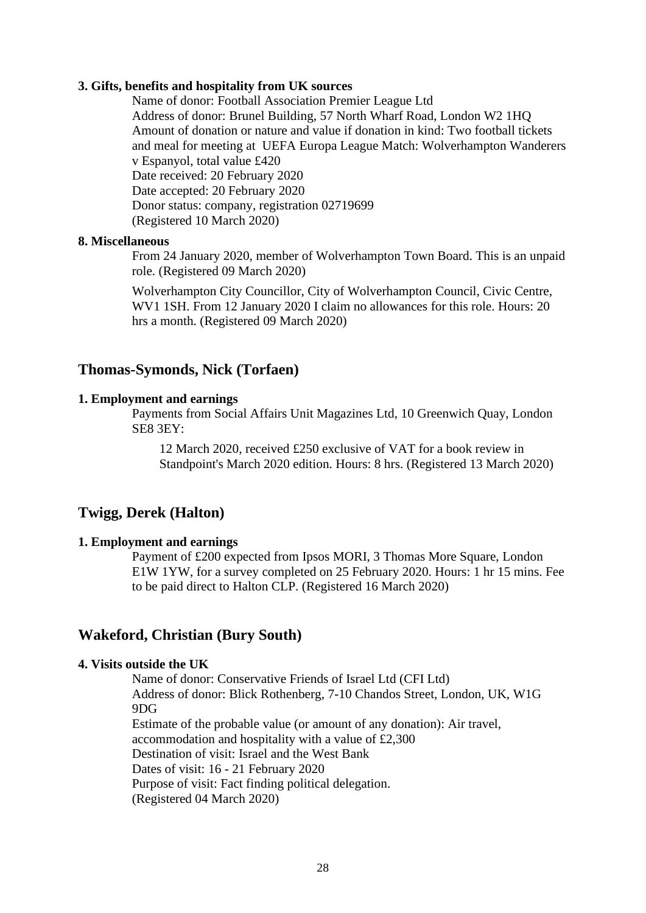#### **3. Gifts, benefits and hospitality from UK sources**

Name of donor: Football Association Premier League Ltd Address of donor: Brunel Building, 57 North Wharf Road, London W2 1HQ Amount of donation or nature and value if donation in kind: Two football tickets and meal for meeting at UEFA Europa League Match: Wolverhampton Wanderers v Espanyol, total value £420 Date received: 20 February 2020 Date accepted: 20 February 2020 Donor status: company, registration 02719699 (Registered 10 March 2020)

#### **8. Miscellaneous**

From 24 January 2020, member of Wolverhampton Town Board. This is an unpaid role. (Registered 09 March 2020)

Wolverhampton City Councillor, City of Wolverhampton Council, Civic Centre, WV1 1SH. From 12 January 2020 I claim no allowances for this role. Hours: 20 hrs a month. (Registered 09 March 2020)

### **Thomas-Symonds, Nick (Torfaen)**

### **1. Employment and earnings**

Payments from Social Affairs Unit Magazines Ltd, 10 Greenwich Quay, London SE8 3EY:

12 March 2020, received £250 exclusive of VAT for a book review in Standpoint's March 2020 edition. Hours: 8 hrs. (Registered 13 March 2020)

## **Twigg, Derek (Halton)**

#### **1. Employment and earnings**

Payment of £200 expected from Ipsos MORI, 3 Thomas More Square, London E1W 1YW, for a survey completed on 25 February 2020. Hours: 1 hr 15 mins. Fee to be paid direct to Halton CLP. (Registered 16 March 2020)

## **Wakeford, Christian (Bury South)**

## **4. Visits outside the UK**

Name of donor: Conservative Friends of Israel Ltd (CFI Ltd) Address of donor: Blick Rothenberg, 7-10 Chandos Street, London, UK, W1G 9DG Estimate of the probable value (or amount of any donation): Air travel, accommodation and hospitality with a value of £2,300 Destination of visit: Israel and the West Bank Dates of visit: 16 - 21 February 2020 Purpose of visit: Fact finding political delegation. (Registered 04 March 2020)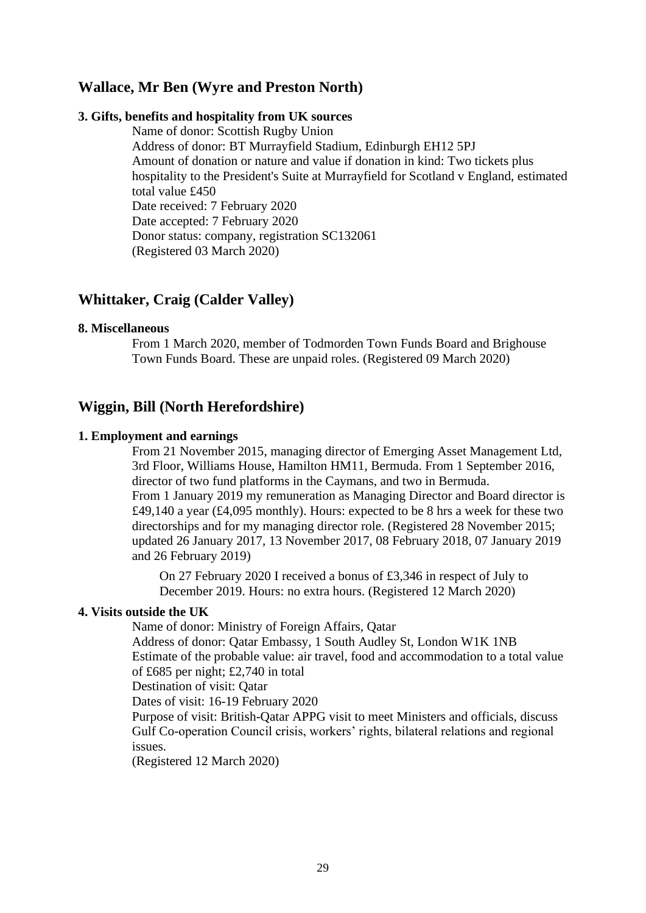## **Wallace, Mr Ben (Wyre and Preston North)**

### **3. Gifts, benefits and hospitality from UK sources**

Name of donor: Scottish Rugby Union Address of donor: BT Murrayfield Stadium, Edinburgh EH12 5PJ Amount of donation or nature and value if donation in kind: Two tickets plus hospitality to the President's Suite at Murrayfield for Scotland v England, estimated total value £450 Date received: 7 February 2020 Date accepted: 7 February 2020 Donor status: company, registration SC132061 (Registered 03 March 2020)

## **Whittaker, Craig (Calder Valley)**

### **8. Miscellaneous**

From 1 March 2020, member of Todmorden Town Funds Board and Brighouse Town Funds Board. These are unpaid roles. (Registered 09 March 2020)

## **Wiggin, Bill (North Herefordshire)**

### **1. Employment and earnings**

From 21 November 2015, managing director of Emerging Asset Management Ltd, 3rd Floor, Williams House, Hamilton HM11, Bermuda. From 1 September 2016, director of two fund platforms in the Caymans, and two in Bermuda. From 1 January 2019 my remuneration as Managing Director and Board director is £49,140 a year (£4,095 monthly). Hours: expected to be 8 hrs a week for these two directorships and for my managing director role. (Registered 28 November 2015; updated 26 January 2017, 13 November 2017, 08 February 2018, 07 January 2019 and 26 February 2019)

On 27 February 2020 I received a bonus of £3,346 in respect of July to December 2019. Hours: no extra hours. (Registered 12 March 2020)

### **4. Visits outside the UK**

Name of donor: Ministry of Foreign Affairs, Qatar

Address of donor: Qatar Embassy, 1 South Audley St, London W1K 1NB Estimate of the probable value: air travel, food and accommodation to a total value of £685 per night; £2,740 in total

Destination of visit: Qatar

Dates of visit: 16-19 February 2020

Purpose of visit: British-Qatar APPG visit to meet Ministers and officials, discuss Gulf Co-operation Council crisis, workers' rights, bilateral relations and regional issues.

(Registered 12 March 2020)